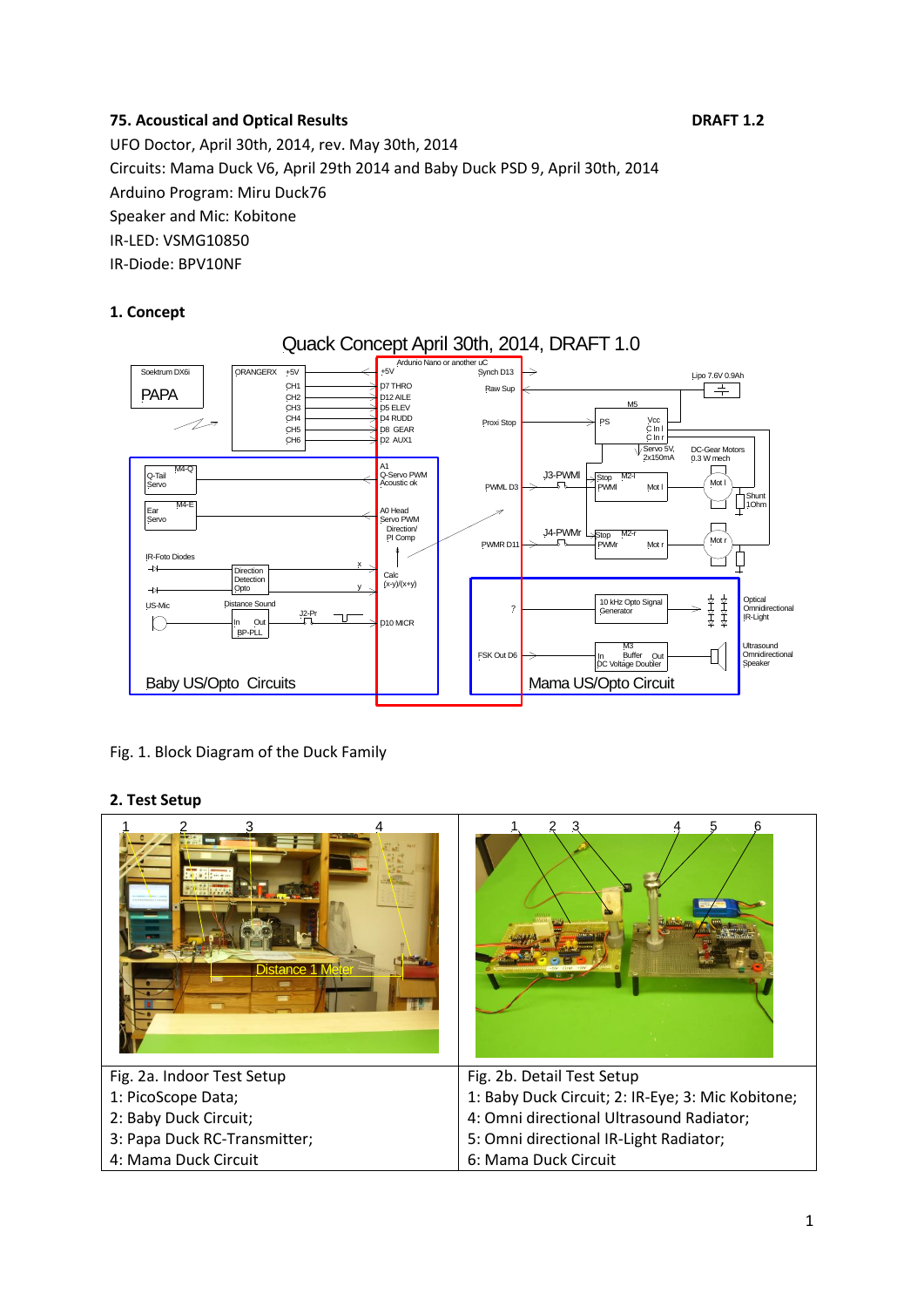# **75. Acoustical and Optical Results DRAFT 1.2**

UFO Doctor, April 30th, 2014, rev. May 30th, 2014 Circuits: Mama Duck V6, April 29th 2014 and Baby Duck PSD 9, April 30th, 2014 Arduino Program: Miru Duck76 Speaker and Mic: Kobitone IR-LED: VSMG10850 IR-Diode: BPV10NF

# **1. Concept**



Fig. 1. Block Diagram of the Duck Family

## **2. Test Setup**

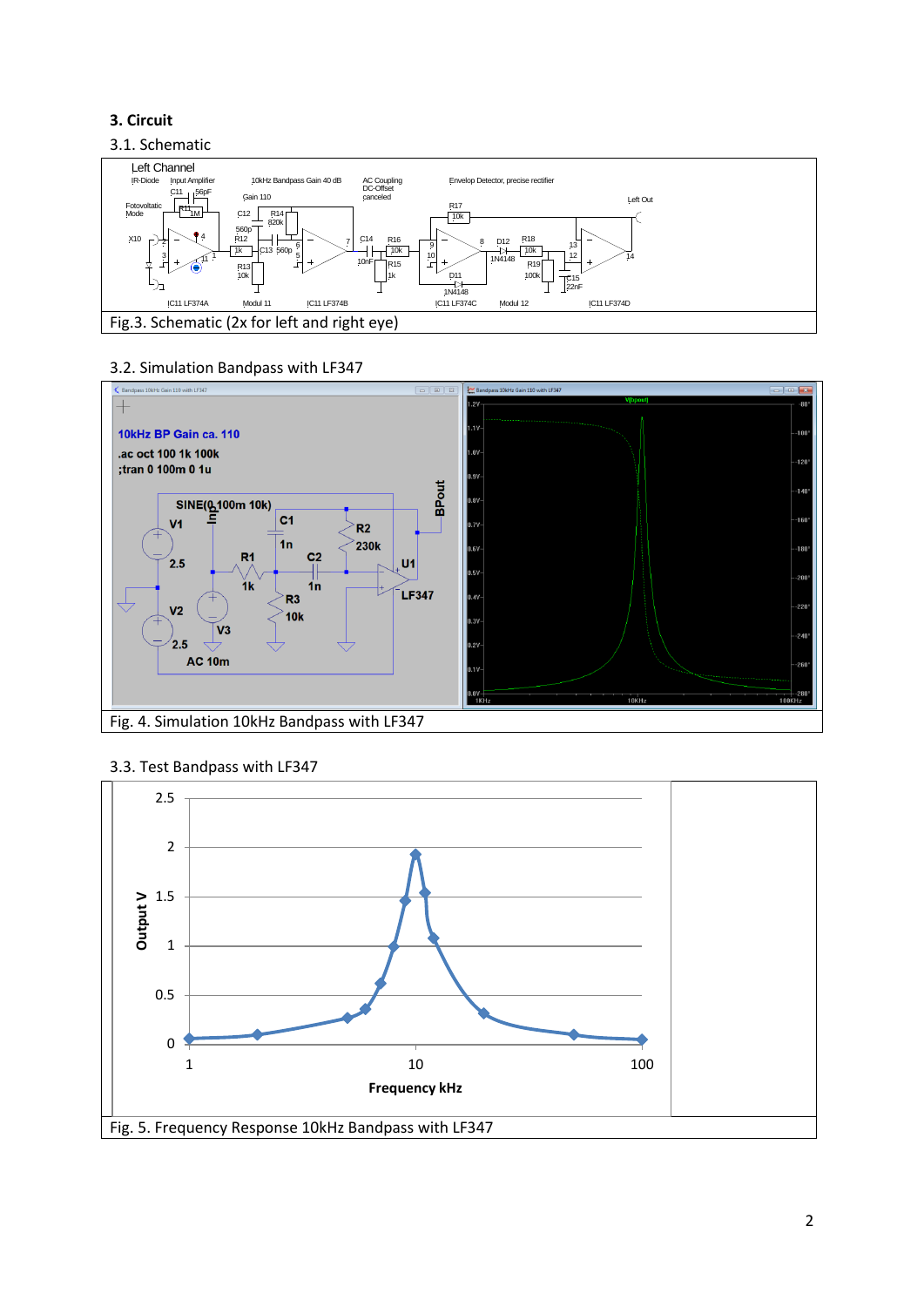# **3. Circuit**

## 3.1. Schematic



## 3.2. Simulation Bandpass with LF347



#### 3.3. Test Bandpass with LF347

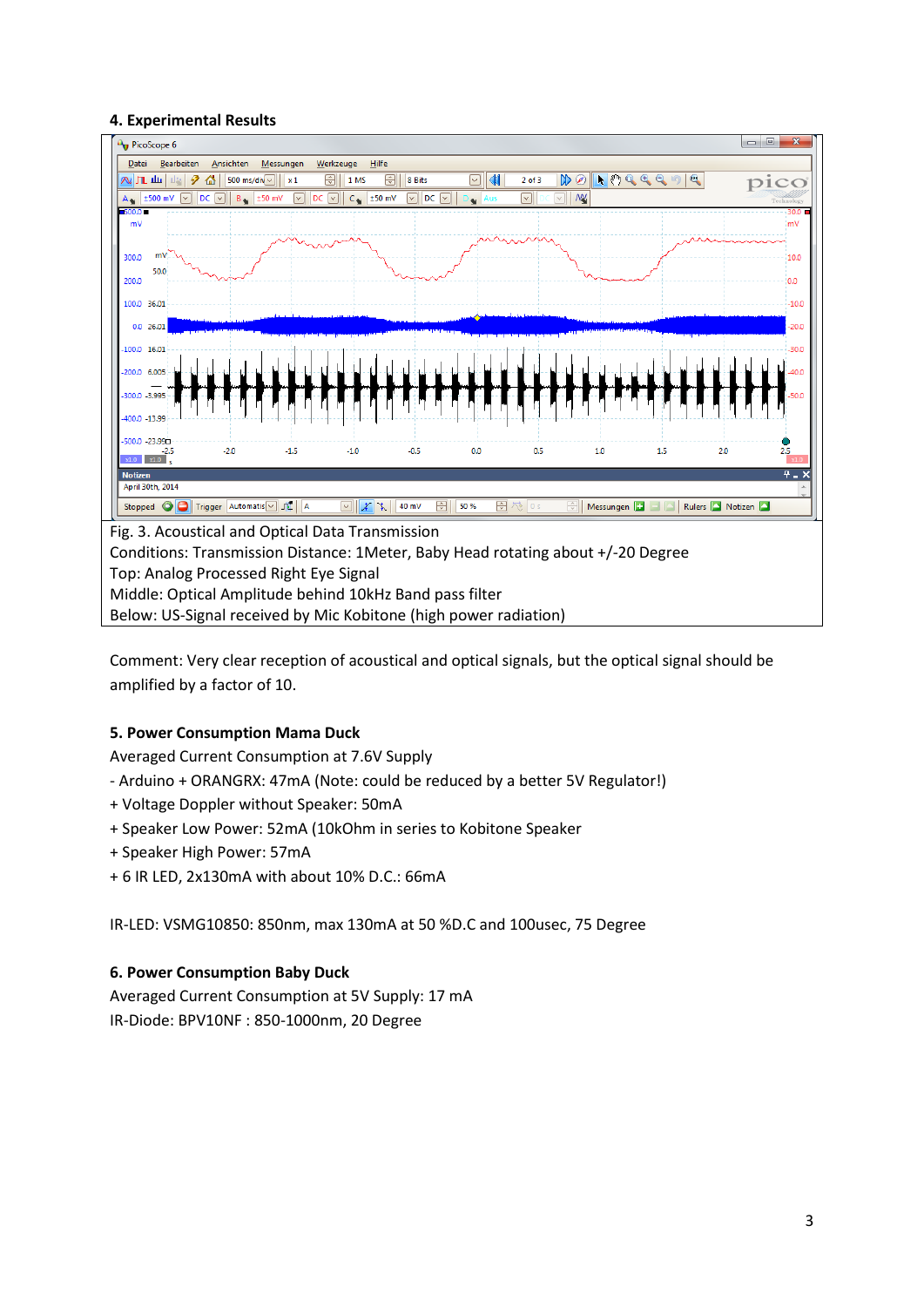#### **4. Experimental Results**



Comment: Very clear reception of acoustical and optical signals, but the optical signal should be amplified by a factor of 10.

## **5. Power Consumption Mama Duck**

Averaged Current Consumption at 7.6V Supply

- Arduino + ORANGRX: 47mA (Note: could be reduced by a better 5V Regulator!)
- + Voltage Doppler without Speaker: 50mA
- + Speaker Low Power: 52mA (10kOhm in series to Kobitone Speaker
- + Speaker High Power: 57mA
- + 6 IR LED, 2x130mA with about 10% D.C.: 66mA

IR-LED: VSMG10850: 850nm, max 130mA at 50 %D.C and 100usec, 75 Degree

#### **6. Power Consumption Baby Duck**

Averaged Current Consumption at 5V Supply: 17 mA IR-Diode: BPV10NF : 850-1000nm, 20 Degree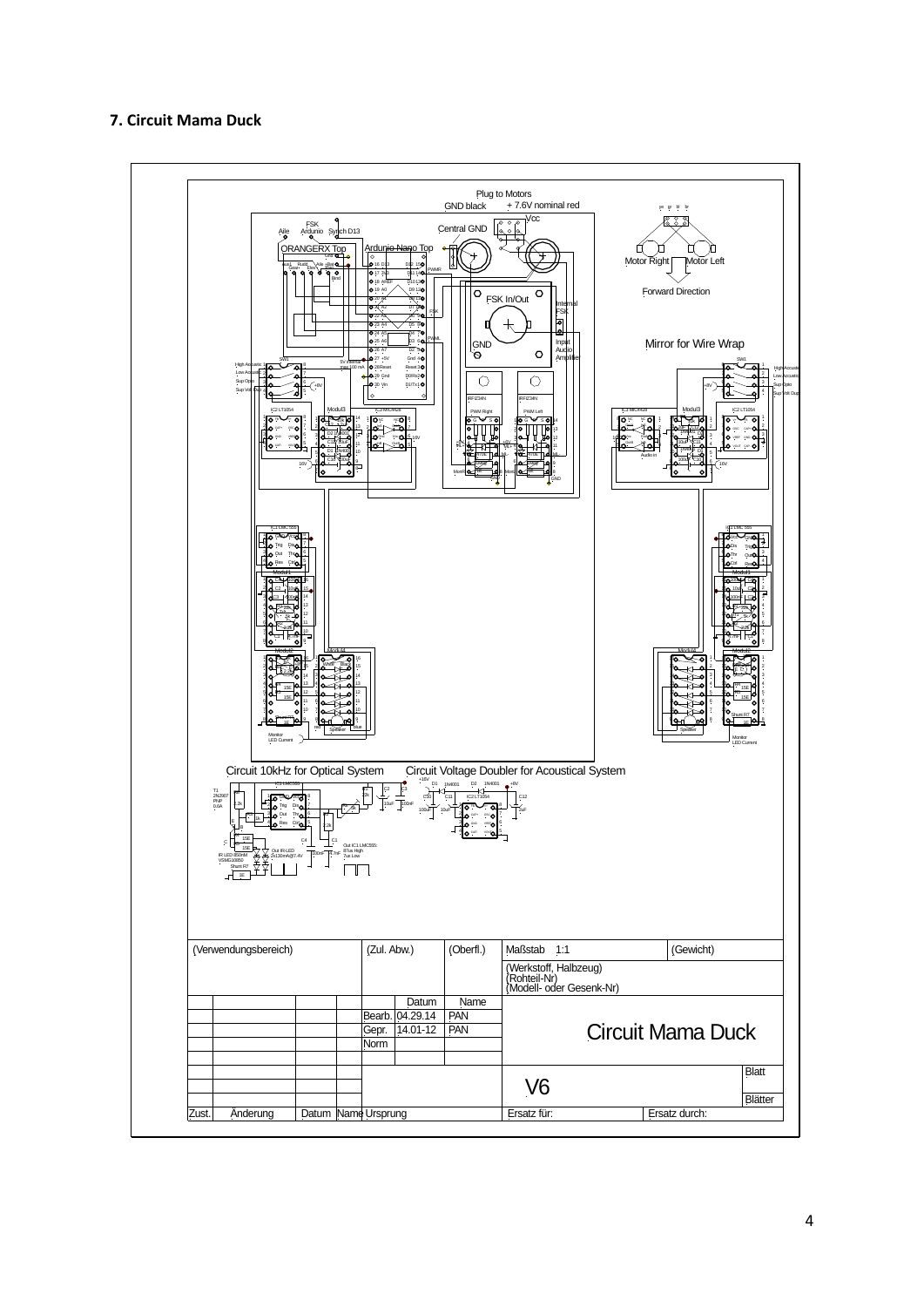#### **7. Circuit Mama Duck**

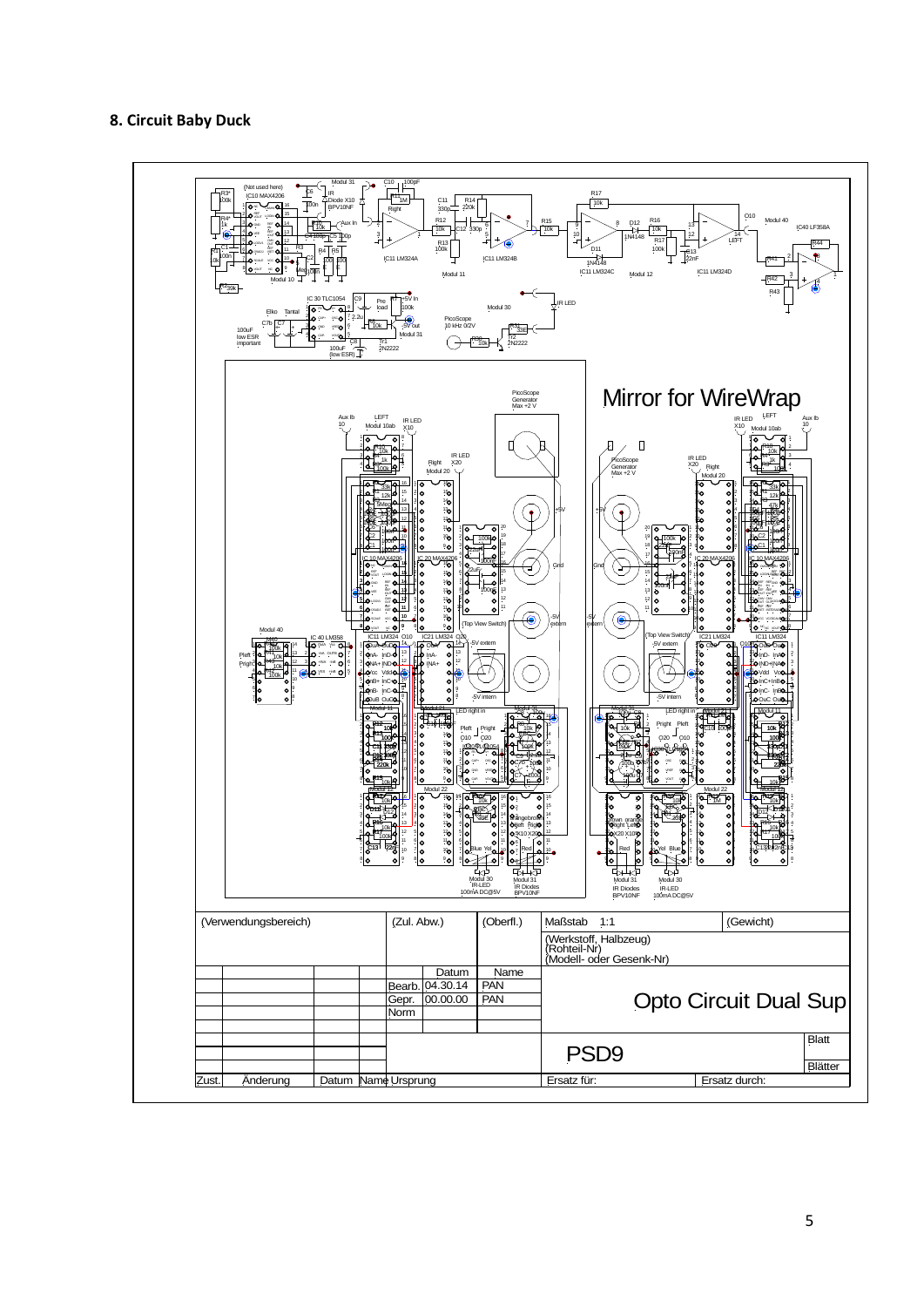### **8. Circuit Baby Duck**